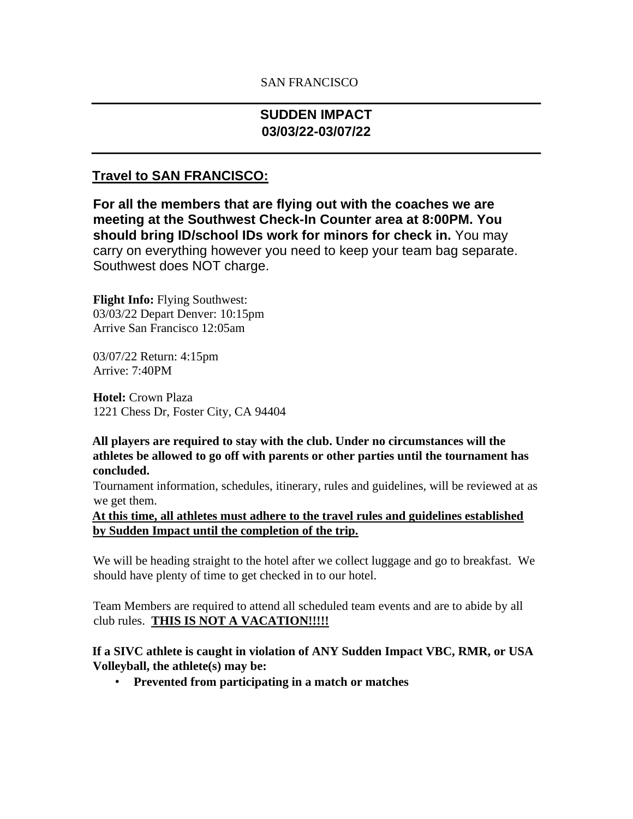## SAN FRANCISCO

# **SUDDEN IMPACT 03/03/22-03/07/22**

## **Travel to SAN FRANCISCO:**

**For all the members that are flying out with the coaches we are meeting at the Southwest Check-In Counter area at 8:00PM. You should bring ID/school IDs work for minors for check in.** You may carry on everything however you need to keep your team bag separate. Southwest does NOT charge.

**Flight Info:** Flying Southwest: 03/03/22 Depart Denver: 10:15pm Arrive San Francisco 12:05am

03/07/22 Return: 4:15pm Arrive: 7:40PM

**Hotel:** Crown Plaza 1221 Chess Dr, Foster City, CA 94404

**All players are required to stay with the club. Under no circumstances will the athletes be allowed to go off with parents or other parties until the tournament has concluded.** 

Tournament information, schedules, itinerary, rules and guidelines, will be reviewed at as we get them.

**At this time, all athletes must adhere to the travel rules and guidelines established by Sudden Impact until the completion of the trip.**

We will be heading straight to the hotel after we collect luggage and go to breakfast. We should have plenty of time to get checked in to our hotel.

Team Members are required to attend all scheduled team events and are to abide by all club rules. **THIS IS NOT A VACATION!!!!!**

**If a SIVC athlete is caught in violation of ANY Sudden Impact VBC, RMR, or USA Volleyball, the athlete(s) may be:** 

• **Prevented from participating in a match or matches**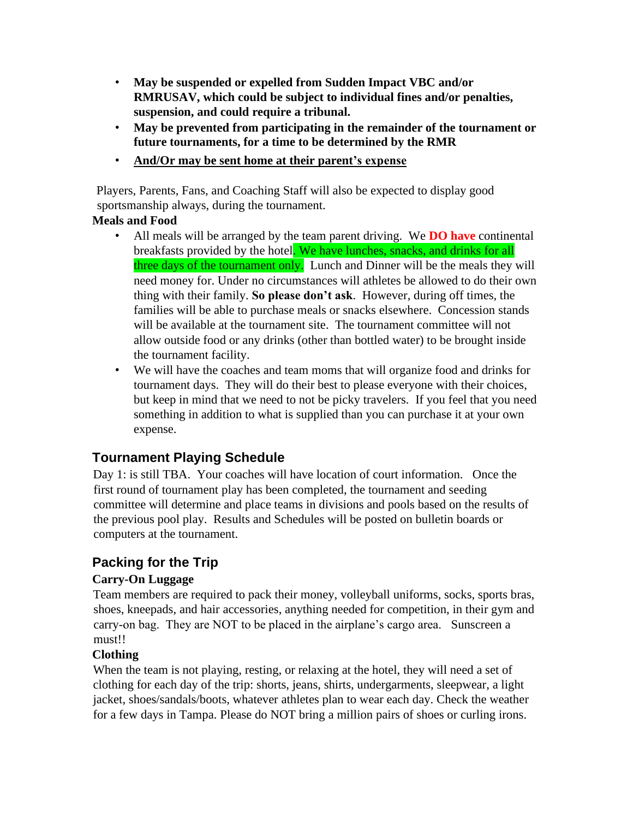- **May be suspended or expelled from Sudden Impact VBC and/or RMRUSAV, which could be subject to individual fines and/or penalties, suspension, and could require a tribunal.**
- **May be prevented from participating in the remainder of the tournament or future tournaments, for a time to be determined by the RMR**
- **And/Or may be sent home at their parent's expense**

Players, Parents, Fans, and Coaching Staff will also be expected to display good sportsmanship always, during the tournament.

### **Meals and Food**

- All meals will be arranged by the team parent driving. We **DO have** continental breakfasts provided by the hotel. We have lunches, snacks, and drinks for all three days of the tournament only. Lunch and Dinner will be the meals they will need money for. Under no circumstances will athletes be allowed to do their own thing with their family. **So please don't ask**. However, during off times, the families will be able to purchase meals or snacks elsewhere. Concession stands will be available at the tournament site. The tournament committee will not allow outside food or any drinks (other than bottled water) to be brought inside the tournament facility.
- We will have the coaches and team moms that will organize food and drinks for tournament days. They will do their best to please everyone with their choices, but keep in mind that we need to not be picky travelers. If you feel that you need something in addition to what is supplied than you can purchase it at your own expense.

# **Tournament Playing Schedule**

Day 1: is still TBA. Your coaches will have location of court information. Once the first round of tournament play has been completed, the tournament and seeding committee will determine and place teams in divisions and pools based on the results of the previous pool play. Results and Schedules will be posted on bulletin boards or computers at the tournament.

# **Packing for the Trip**

## **Carry-On Luggage**

Team members are required to pack their money, volleyball uniforms, socks, sports bras, shoes, kneepads, and hair accessories, anything needed for competition, in their gym and carry-on bag. They are NOT to be placed in the airplane's cargo area. Sunscreen a must!!

## **Clothing**

When the team is not playing, resting, or relaxing at the hotel, they will need a set of clothing for each day of the trip: shorts, jeans, shirts, undergarments, sleepwear, a light jacket, shoes/sandals/boots, whatever athletes plan to wear each day. Check the weather for a few days in Tampa. Please do NOT bring a million pairs of shoes or curling irons.